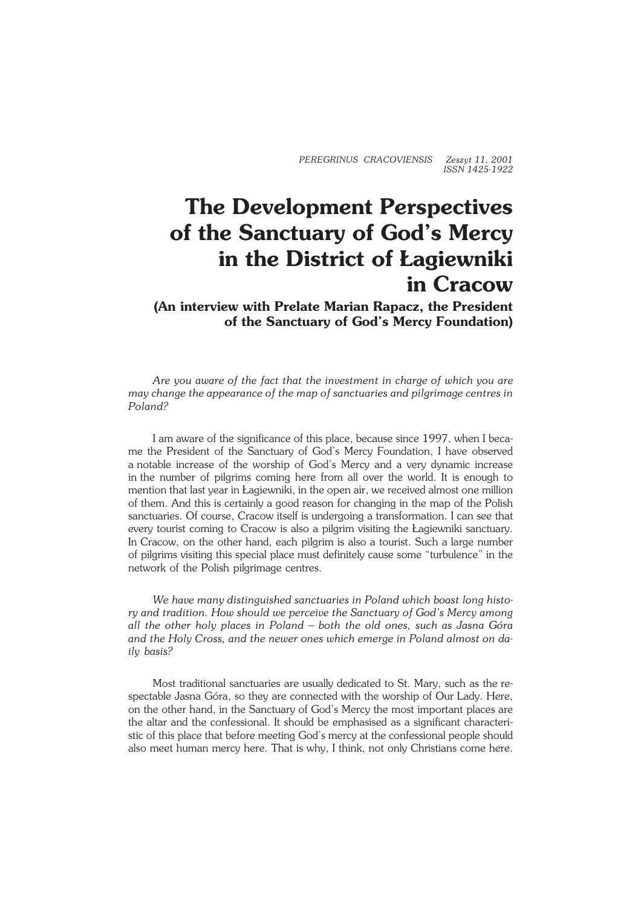*PEREGRINUS CRACOVIENSIS Zeszyt 11, 2001 ISSN 1425−1922*

## **The Development Perspectives of the Sanctuary of God's Mercy in the District of Łagiewniki in Cracow**

**(An interview with Prelate Marian Rapacz, the President of the Sanctuary of God's Mercy Foundation)**

*Are you aware of the fact that the investment in charge of which you are may change the appearance of the map of sanctuaries and pilgrimage centres in Poland?*

I am aware of the significance of this place, because since 1997, when Ibeca− me the President of the Sanctuary of God's Mercy Foundation, I have observed anotable increase of the worship of God's Mercy and a very dynamic increase in the number of pilgrims coming here from all over the world. It is enough to mention that last year in Łagiewniki, in the open air, we received almost one million of them. And this is certainly a good reason for changing in the map of the Polish sanctuaries. Of course, Cracow itself is undergoing a transformation. I can see that every tourist coming to Cracow is also a pilgrim visiting the Łagiewniki sanctuary. InCracow, on the other hand, each pilgrim is also a tourist. Such a large number of pilgrims visiting this special place must definitely cause some "turbulence" in the network of the Polish pilgrimage centres.

*We have many distinguished sanctuaries in Poland which boast long histo− ry and tradition. How should we perceive the Sanctuary of God's Mercy among all the other holy places in Poland – both the old ones, such as Jasna Góra and the Holy Cross, and the newer ones which emerge in Poland almost on daily basis?*

Most traditional sanctuaries are usually dedicated to St. Mary, such as the re− spectable Jasna Góra, so they are connected with the worship of Our Lady. Here, on the other hand, in the Sanctuary of God's Mercy the most important places are the altar and the confessional. It should be emphasised as a significant characteri− stic of this place that before meeting God's mercy at the confessional people should also meet human mercy here. That is why, I think, not only Christians come here.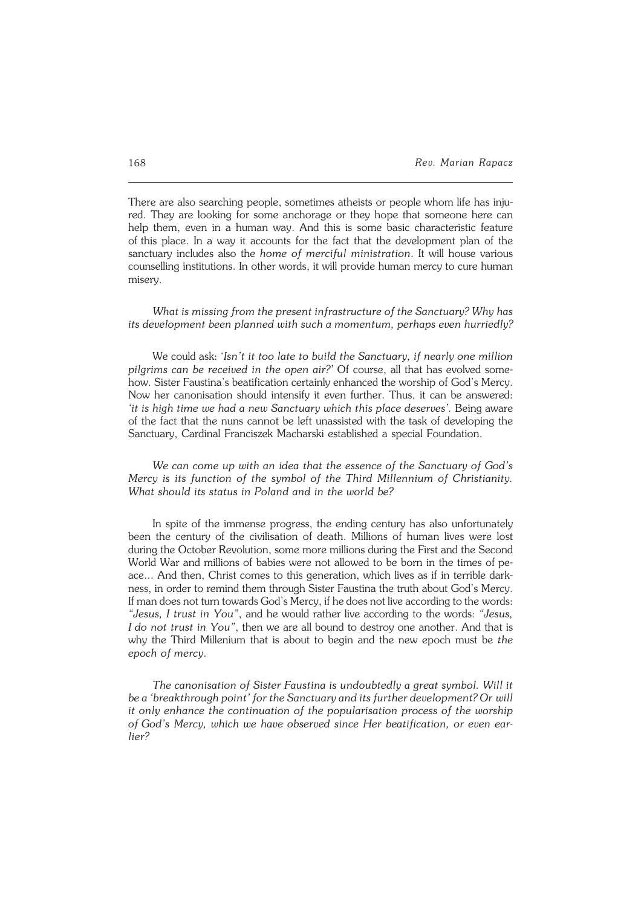There are also searching people, sometimes atheists or people whom life has inju− red. They are looking for some anchorage or they hope that someone here can help them, even in a human way. And this is some basic characteristic feature ofthis place. In a way it accounts for the fact that the development plan of the sanctuary includes also the *home of merciful ministration*. It will house various counselling institutions. In other words, it will provide human mercy to cure human misery.

*What is missing from the present infrastructure of the Sanctuary? Why has its development been planned with such a momentum, perhaps even hurriedly?*

We could ask: '*Isn't it too late to build the Sanctuary, if nearly one million pilgrims can be received in the open air?'* Of course, all that has evolved some− how. Sister Faustina's beatification certainly enhanced the worship of God's Mercy. Now her canonisation should intensify it even further. Thus, it can be answered: 'it is high time we had a new Sanctuary which this place deserves'. Being aware of the fact that the nuns cannot be left unassisted with the task of developing the Sanctuary, Cardinal Franciszek Macharski established a special Foundation.

*We can come up with an idea that the essence of the Sanctuary of God's Mercy is its function of the symbol of the Third Millennium of Christianity. What should its status in Poland and in the world be?*

In spite of the immense progress, the ending century has also unfortunately been the century of the civilisation of death. Millions of human lives were lost during the October Revolution, some more millions during the First and the Second World War and millions of babies were not allowed to be born in the times of peace... And then, Christ comes to this generation, which lives as if in terrible dark− ness, in order to remind them through Sister Faustina the truth about God's Mercy. If man does not turn towards God's Mercy, if he does not live according to thewords: *"Jesus, I trust in You"*, and he would rather live according to the words: *"Jesus, Ido not trust in You"*, then we are all bound to destroy one another. And that is why the Third Millenium that is about to begin and the new epoch must be *the* epoch of mercy.

*The canonisation of Sister Faustina is undoubtedly a great symbol. Will it be a 'breakthrough point' for the Sanctuary and its further development? Orwill it only enhance the continuation of the popularisation process of the worship ofGod's Mercy, which we have observed since Her beatification, or even ear− lier?*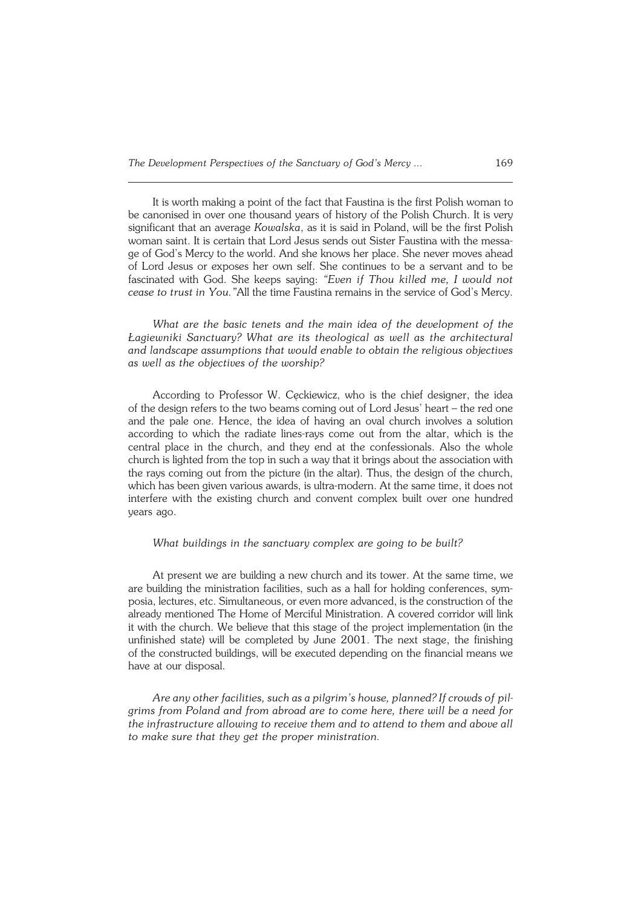It is worth making a point of the fact that Faustina is the first Polish woman to be canonised in over one thousand years of history of the Polish Church. It is very significant that an average *Kowalska*, as it is said in Poland, will be the first Polish woman saint. It is certain that Lord Jesus sends out Sister Faustina with the messa− ge of God's Mercy to the world. And she knows her place. She never moves ahead of Lord Jesus or exposes her own self. She continues to be a servant and to be fascinated with God. She keeps saying: *"Even if Thou killed me, I would not cease to trust in You."*All the time Faustina remains in the service of God's Mercy.

*What are the basic tenets and the main idea of the development of the Łagiewniki Sanctuary? What are its theological as well as the architectural andlandscape assumptions that would enable to obtain the religious objectives as well as the objectives of the worship?*

According to Professor W. Cęckiewicz, who is the chief designer, the idea of the design refers to the two beams coming out of Lord Jesus' heart – the red one and the pale one. Hence, the idea of having an oval church involves a solution according to which the radiate lines−rays come out from the altar, which is the central place in the church, and they end at the confessionals. Also the whole church is lighted from the top in such a way that it brings about the association with the rays coming out from the picture (in the altar). Thus, the design of the church, which has been given various awards, is ultra−modern. At the same time, it does not interfere with the existing church and convent complex built over one hundred years ago.

## *What buildings in the sanctuary complex are going to be built?*

At present we are building a new church and its tower. At the same time, we are building the ministration facilities, such as a hall for holding conferences, sym− posia, lectures, etc. Simultaneous, or even more advanced, is the construction of the already mentioned The Home of Merciful Ministration. A covered corridor will link it with the church. We believe that this stage of the project implementation (in the unfinished state) will be completed by June 2001. The next stage, the finishing of the constructed buildings, will be executed depending on the financial means we have at our disposal.

*Are any other facilities, such as a pilgrim's house, planned? If crowds of pilgrims from Poland and from abroad are to come here, there will be a need for the infrastructure allowing to receive them and to attend to them and above all to make sure that they get the proper ministration.*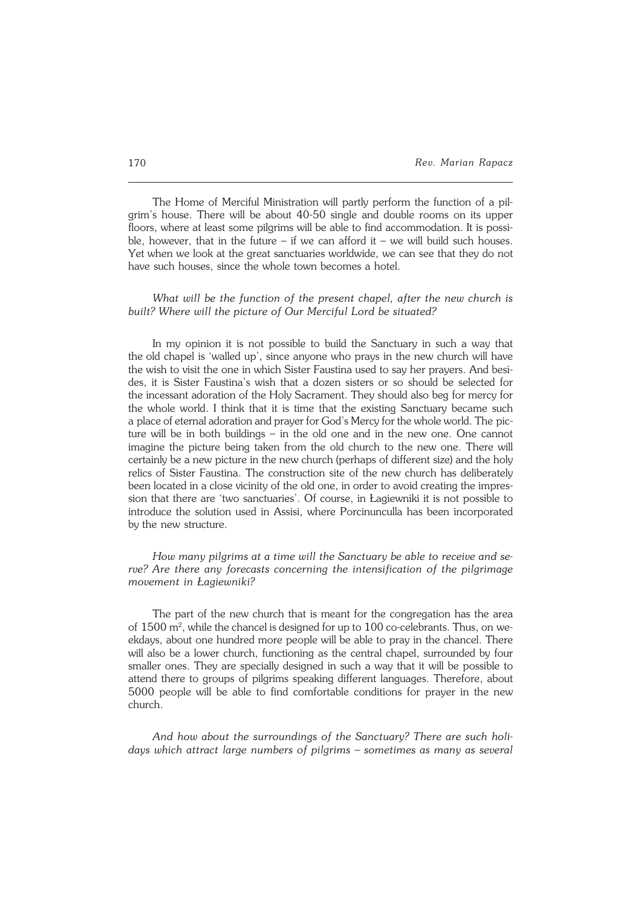The Home of Merciful Ministration will partly perform the function of a pil− grim's house. There will be about 40−50 single and double rooms on its upper floors, where at least some pilgrims will be able to find accommodation. It is possible, however, that in the future  $-$  if we can afford it  $-$  we will build such houses. Yet when we look at the great sanctuaries worldwide, we can see that they do not have such houses, since the whole town becomes a hotel.

## *What will be the function of the present chapel, after the new church is built? Where will the picture of Our Merciful Lord be situated?*

In my opinion it is not possible to build the Sanctuary in such a way that the old chapel is 'walled up', since anyone who prays in the new church will have the wish to visit the one in which Sister Faustina used to say her prayers. And besides, it is Sister Faustina's wish that a dozen sisters or so should be selected for the incessant adoration of the Holy Sacrament. They should also beg for mercy for the whole world. I think that it is time that the existing Sanctuary became such a place of eternal adoration and prayer for God's Mercy for the whole world. The picture will be in both buildings – in the old one and in the new one. One cannot imagine the picture being taken from the old church to the new one. There will certainly be a new picture in the new church (perhaps of different size) and the holy relics of Sister Faustina. The construction site of the new church has deliberately been located in a close vicinity of the old one, in order to avoid creating the impres− sion that there are 'two sanctuaries'. Of course, in Łagiewniki it is not possible to introduce the solution used in Assisi, where Porcinunculla has been incorporated by the new structure.

*How many pilgrims at a time will the Sanctuary be able to receive andse− rve? Are there any forecasts concerning the intensification of the pilgrimage movement in Łagiewniki?*

The part of the new church that is meant for the congregation has the area of  $1500 \text{ m}^2$ , while the chancel is designed for up to  $100 \text{ co-celebrants}$ . Thus, on weekdays, about one hundred more people will be able to pray in the chancel. There will also be a lower church, functioning as the central chapel, surrounded by four smaller ones. They are specially designed in such a way that it will be possible to attend there to groups of pilgrims speaking different languages. Therefore, about 5000 people will be able to find comfortable conditions for prayer in the new church.

*And how about the surroundings of the Sanctuary? There are such holi− days which attract large numbers of pilgrims – sometimes as many as several*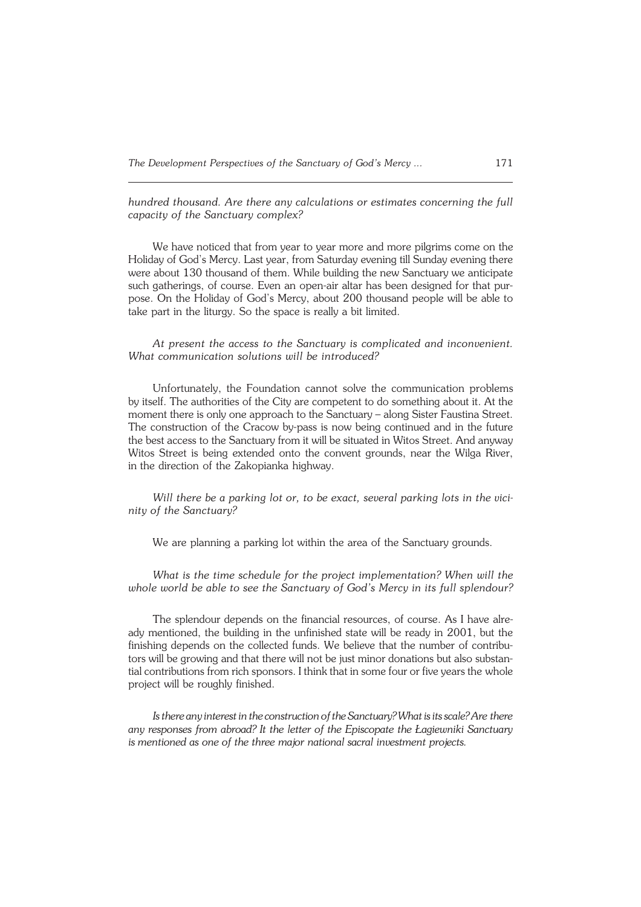*hundred thousand. Are there any calculations or estimates concerning the full capacity of the Sanctuary complex?*

We have noticed that from year to year more and more pilgrims come on the Holiday of God's Mercy. Last year, from Saturday evening till Sunday evening there were about 130 thousand of them. While building the new Sanctuary we anticipate such gatherings, of course. Even an open−air altar has been designed for that pur− pose. On the Holiday of God's Mercy, about 200 thousand people will be able to take part in the liturgy. So the space is really a bit limited.

*At present the access to the Sanctuary is complicated and inconvenient. What communication solutions will be introduced?*

Unfortunately, the Foundation cannot solve the communication problems byitself. The authorities of the City are competent to do something about it. At the moment there is only one approach to the Sanctuary – along Sister Faustina Street. The construction of the Cracow by−pass is now being continued and in the future the best access to the Sanctuary from it will be situated in Witos Street. And anyway Witos Street is being extended onto the convent grounds, near the Wilga River, in the direction of the Zakopianka highway.

*Will there be a parking lot or, to be exact, several parking lots in the vicinity of the Sanctuary?*

We are planning a parking lot within the area of the Sanctuary grounds.

*What is the time schedule for the project implementation? When will the whole world be able to see the Sanctuary of God's Mercy in its full splendour?*

The splendour depends on the financial resources, of course. As I have alre− ady mentioned, the building in the unfinished state will be ready in 2001, but the finishing depends on the collected funds. We believe that the number of contributors will be growing and that there will not be just minor donations but also substan− tial contributions from rich sponsors. I think that in some four or five years the whole project will be roughly finished.

*Is there any interest in the construction of the Sanctuary?What is its scale? Arethere any responses from abroad? It the letter of the Episcopate the Łagiewniki Sanctuary ismentioned as one of the three major national sacral investment projects.*